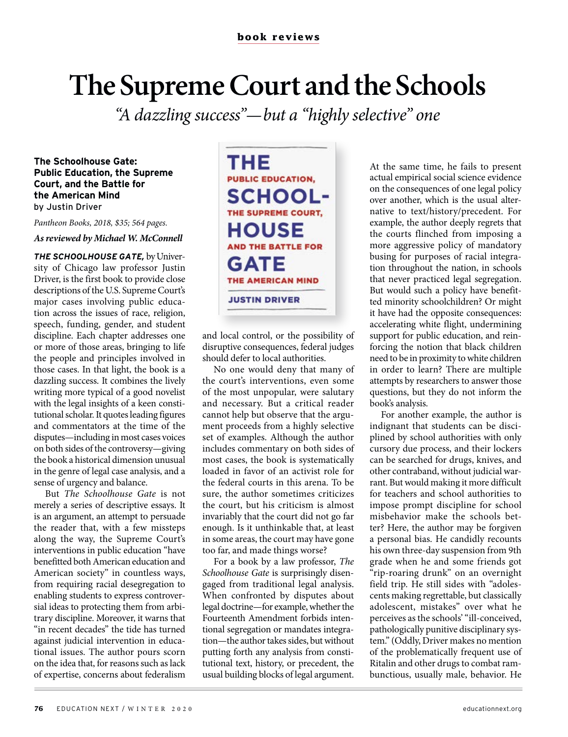## **The Supreme Court and the Schools**

*"A dazzling success"—but a "highly selective" one*

**The Schoolhouse Gate: Public Education, the Supreme Court, and the Battle for the American Mind** by Justin Driver

*Pantheon Books, 2018, \$35; 564 pages.* 

## *As reviewed by Michael W. McConnell*

*THE SCHOOLHOUSE GATE,* by University of Chicago law professor Justin Driver, is the first book to provide close descriptions of the U.S. Supreme Court's major cases involving public education across the issues of race, religion, speech, funding, gender, and student discipline. Each chapter addresses one or more of those areas, bringing to life the people and principles involved in those cases. In that light, the book is a dazzling success. It combines the lively writing more typical of a good novelist with the legal insights of a keen constitutional scholar. It quotes leading figures and commentators at the time of the disputes—including in most cases voices on both sides of the controversy—giving the book a historical dimension unusual in the genre of legal case analysis, and a sense of urgency and balance.

But *The Schoolhouse Gate* is not merely a series of descriptive essays. It is an argument, an attempt to persuade the reader that, with a few missteps along the way, the Supreme Court's interventions in public education "have benefitted both American education and American society" in countless ways, from requiring racial desegregation to enabling students to express controversial ideas to protecting them from arbitrary discipline. Moreover, it warns that "in recent decades" the tide has turned against judicial intervention in educational issues. The author pours scorn on the idea that, for reasons such as lack of expertise, concerns about federalism

THE **PUBLIC EDUCATION, SCHOOL-**THE SUPREME COURT, **HOUSE** AND THE BATTLE FOR **GATE** THE AMERICAN MIND **JUSTIN DRIVER** 

and local control, or the possibility of disruptive consequences, federal judges should defer to local authorities.

No one would deny that many of the court's interventions, even some of the most unpopular, were salutary and necessary. But a critical reader cannot help but observe that the argument proceeds from a highly selective set of examples. Although the author includes commentary on both sides of most cases, the book is systematically loaded in favor of an activist role for the federal courts in this arena. To be sure, the author sometimes criticizes the court, but his criticism is almost invariably that the court did not go far enough. Is it unthinkable that, at least in some areas, the court may have gone too far, and made things worse?

For a book by a law professor, *The Schoolhouse Gate* is surprisingly disengaged from traditional legal analysis. When confronted by disputes about legal doctrine—for example, whether the Fourteenth Amendment forbids intentional segregation or mandates integration—the author takes sides, but without putting forth any analysis from constitutional text, history, or precedent, the usual building blocks of legal argument.

At the same time, he fails to present actual empirical social science evidence on the consequences of one legal policy over another, which is the usual alternative to text/history/precedent. For example, the author deeply regrets that the courts flinched from imposing a more aggressive policy of mandatory busing for purposes of racial integration throughout the nation, in schools that never practiced legal segregation. But would such a policy have benefitted minority schoolchildren? Or might it have had the opposite consequences: accelerating white flight, undermining support for public education, and reinforcing the notion that black children need to be in proximity to white children in order to learn? There are multiple attempts by researchers to answer those questions, but they do not inform the book's analysis.

For another example, the author is indignant that students can be disciplined by school authorities with only cursory due process, and their lockers can be searched for drugs, knives, and other contraband, without judicial warrant. But would making it more difficult for teachers and school authorities to impose prompt discipline for school misbehavior make the schools better? Here, the author may be forgiven a personal bias. He candidly recounts his own three-day suspension from 9th grade when he and some friends got "rip-roaring drunk" on an overnight field trip. He still sides with "adolescents making regrettable, but classically adolescent, mistakes" over what he perceives as the schools' "ill-conceived, pathologically punitive disciplinary system." (Oddly, Driver makes no mention of the problematically frequent use of Ritalin and other drugs to combat rambunctious, usually male, behavior. He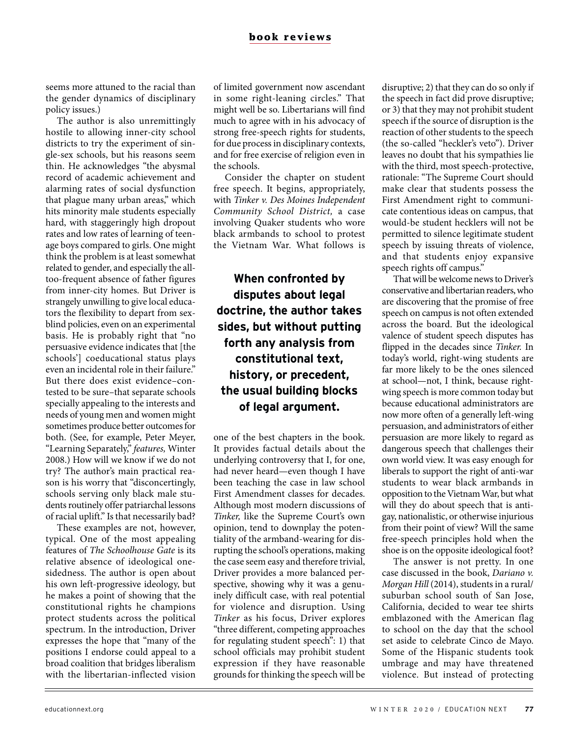seems more attuned to the racial than the gender dynamics of disciplinary policy issues.)

The author is also unremittingly hostile to allowing inner-city school districts to try the experiment of single-sex schools, but his reasons seem thin. He acknowledges "the abysmal record of academic achievement and alarming rates of social dysfunction that plague many urban areas," which hits minority male students especially hard, with staggeringly high dropout rates and low rates of learning of teenage boys compared to girls. One might think the problem is at least somewhat related to gender, and especially the alltoo-frequent absence of father figures from inner-city homes. But Driver is strangely unwilling to give local educators the flexibility to depart from sexblind policies, even on an experimental basis. He is probably right that "no persuasive evidence indicates that [the schools'] coeducational status plays even an incidental role in their failure." But there does exist evidence–contested to be sure–that separate schools specially appealing to the interests and needs of young men and women might sometimes produce better outcomes for both. (See, for example, Peter Meyer, "Learning Separately," *features,* Winter 2008.) How will we know if we do not try? The author's main practical reason is his worry that "disconcertingly, schools serving only black male students routinely offer patriarchal lessons of racial uplift." Is that necessarily bad?

These examples are not, however, typical. One of the most appealing features of *The Schoolhouse Gate* is its relative absence of ideological onesidedness. The author is open about his own left-progressive ideology, but he makes a point of showing that the constitutional rights he champions protect students across the political spectrum. In the introduction, Driver expresses the hope that "many of the positions I endorse could appeal to a broad coalition that bridges liberalism with the libertarian-inflected vision

of limited government now ascendant in some right-leaning circles." That might well be so. Libertarians will find much to agree with in his advocacy of strong free-speech rights for students, for due process in disciplinary contexts, and for free exercise of religion even in the schools.

Consider the chapter on student free speech. It begins, appropriately, with *Tinker v. Des Moines Independent Community School District,* a case involving Quaker students who wore black armbands to school to protest the Vietnam War. What follows is

## **When confronted by disputes about legal doctrine, the author takes sides, but without putting forth any analysis from constitutional text, history, or precedent, the usual building blocks of legal argument.**

one of the best chapters in the book. It provides factual details about the underlying controversy that I, for one, had never heard—even though I have been teaching the case in law school First Amendment classes for decades. Although most modern discussions of *Tinker,* like the Supreme Court's own opinion, tend to downplay the potentiality of the armband-wearing for disrupting the school's operations, making the case seem easy and therefore trivial, Driver provides a more balanced perspective, showing why it was a genuinely difficult case, with real potential for violence and disruption. Using *Tinker* as his focus, Driver explores "three different, competing approaches for regulating student speech": 1) that school officials may prohibit student expression if they have reasonable grounds for thinking the speech will be disruptive; 2) that they can do so only if the speech in fact did prove disruptive; or 3) that they may not prohibit student speech if the source of disruption is the reaction of other students to the speech (the so-called "heckler's veto"). Driver leaves no doubt that his sympathies lie with the third, most speech-protective, rationale: "The Supreme Court should make clear that students possess the First Amendment right to communicate contentious ideas on campus, that would-be student hecklers will not be permitted to silence legitimate student speech by issuing threats of violence, and that students enjoy expansive speech rights off campus."

That will be welcome news to Driver's conservative and libertarian readers, who are discovering that the promise of free speech on campus is not often extended across the board. But the ideological valence of student speech disputes has flipped in the decades since *Tinker.* In today's world, right-wing students are far more likely to be the ones silenced at school—not, I think, because rightwing speech is more common today but because educational administrators are now more often of a generally left-wing persuasion, and administrators of either persuasion are more likely to regard as dangerous speech that challenges their own world view. It was easy enough for liberals to support the right of anti-war students to wear black armbands in opposition to the Vietnam War, but what will they do about speech that is antigay, nationalistic, or otherwise injurious from their point of view? Will the same free-speech principles hold when the shoe is on the opposite ideological foot?

The answer is not pretty. In one case discussed in the book, *Dariano v. Morgan Hill* (2014), students in a rural/ suburban school south of San Jose, California, decided to wear tee shirts emblazoned with the American flag to school on the day that the school set aside to celebrate Cinco de Mayo. Some of the Hispanic students took umbrage and may have threatened violence. But instead of protecting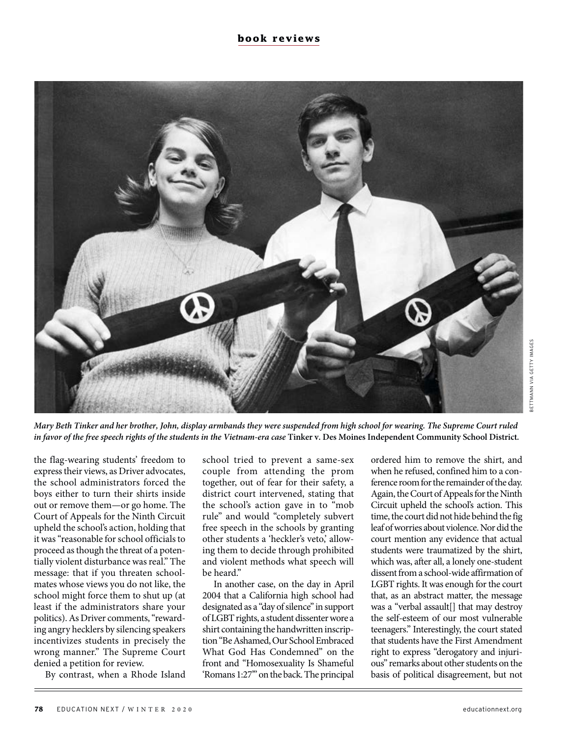

*Mary Beth Tinker and her brother, John, display armbands they were suspended from high school for wearing. The Supreme Court ruled in favor of the free speech rights of the students in the Vietnam-era case* Tinker v. Des Moines Independent Community School District.

the flag-wearing students' freedom to express their views, as Driver advocates, the school administrators forced the boys either to turn their shirts inside out or remove them—or go home. The Court of Appeals for the Ninth Circuit upheld the school's action, holding that it was "reasonable for school officials to proceed as though the threat of a potentially violent disturbance was real." The message: that if you threaten schoolmates whose views you do not like, the school might force them to shut up (at least if the administrators share your politics). As Driver comments, "rewarding angry hecklers by silencing speakers incentivizes students in precisely the wrong manner." The Supreme Court denied a petition for review.

By contrast, when a Rhode Island

school tried to prevent a same-sex couple from attending the prom together, out of fear for their safety, a district court intervened, stating that the school's action gave in to "mob rule" and would "completely subvert free speech in the schools by granting other students a 'heckler's veto,' allowing them to decide through prohibited and violent methods what speech will be heard."

In another case, on the day in April 2004 that a California high school had designated as a "day of silence" in support of LGBT rights, a student dissenter wore a shirt containing the handwritten inscription "Be Ashamed, Our School Embraced What God Has Condemned" on the front and "Homosexuality Is Shameful 'Romans 1:27'" on the back. The principal ordered him to remove the shirt, and when he refused, confined him to a conference room for the remainder of the day. Again, the Court of Appeals for the Ninth Circuit upheld the school's action. This time, the court did not hide behind the fig leaf of worries about violence. Nor did the court mention any evidence that actual students were traumatized by the shirt, which was, after all, a lonely one-student dissent from a school-wide affirmation of LGBT rights. It was enough for the court that, as an abstract matter, the message was a "verbal assault[] that may destroy the self-esteem of our most vulnerable teenagers." Interestingly, the court stated that students have the First Amendment right to express "derogatory and injurious" remarks about other students on the basis of political disagreement, but not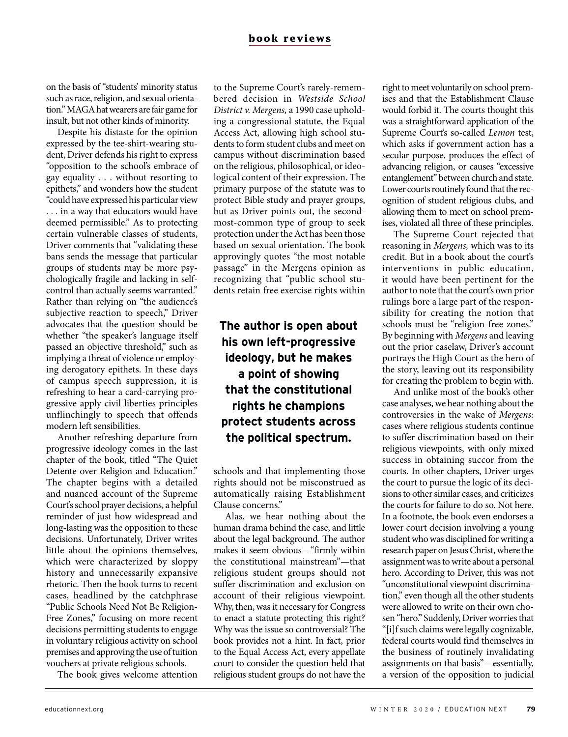on the basis of "students' minority status such as race, religion, and sexual orientation." MAGA hat wearers are fair game for insult, but not other kinds of minority.

Despite his distaste for the opinion expressed by the tee-shirt-wearing student, Driver defends his right to express "opposition to the school's embrace of gay equality . . . without resorting to epithets," and wonders how the student "could have expressed his particular view . . . in a way that educators would have deemed permissible." As to protecting certain vulnerable classes of students, Driver comments that "validating these bans sends the message that particular groups of students may be more psychologically fragile and lacking in selfcontrol than actually seems warranted." Rather than relying on "the audience's subjective reaction to speech," Driver advocates that the question should be whether "the speaker's language itself passed an objective threshold," such as implying a threat of violence or employing derogatory epithets. In these days of campus speech suppression, it is refreshing to hear a card-carrying progressive apply civil liberties principles unflinchingly to speech that offends modern left sensibilities.

Another refreshing departure from progressive ideology comes in the last chapter of the book, titled "The Quiet Detente over Religion and Education." The chapter begins with a detailed and nuanced account of the Supreme Court's school prayer decisions, a helpful reminder of just how widespread and long-lasting was the opposition to these decisions. Unfortunately, Driver writes little about the opinions themselves, which were characterized by sloppy history and unnecessarily expansive rhetoric. Then the book turns to recent cases, headlined by the catchphrase "Public Schools Need Not Be Religion-Free Zones," focusing on more recent decisions permitting students to engage in voluntary religious activity on school premises and approving the use of tuition vouchers at private religious schools.

The book gives welcome attention

to the Supreme Court's rarely-remembered decision in *Westside School District v. Mergens,* a 1990 case upholding a congressional statute, the Equal Access Act, allowing high school students to form student clubs and meet on campus without discrimination based on the religious, philosophical, or ideological content of their expression. The primary purpose of the statute was to protect Bible study and prayer groups, but as Driver points out, the secondmost-common type of group to seek protection under the Act has been those based on sexual orientation. The book approvingly quotes "the most notable passage" in the Mergens opinion as recognizing that "public school students retain free exercise rights within

## **The author is open about his own left-progressive ideology, but he makes a point of showing that the constitutional rights he champions protect students across the political spectrum.**

schools and that implementing those rights should not be misconstrued as automatically raising Establishment Clause concerns."

Alas, we hear nothing about the human drama behind the case, and little about the legal background. The author makes it seem obvious—"firmly within the constitutional mainstream"—that religious student groups should not suffer discrimination and exclusion on account of their religious viewpoint. Why, then, was it necessary for Congress to enact a statute protecting this right? Why was the issue so controversial? The book provides not a hint. In fact, prior to the Equal Access Act, every appellate court to consider the question held that religious student groups do not have the right to meet voluntarily on school premises and that the Establishment Clause would forbid it. The courts thought this was a straightforward application of the Supreme Court's so-called *Lemon* test, which asks if government action has a secular purpose, produces the effect of advancing religion, or causes "excessive entanglement" between church and state. Lower courts routinely found that the recognition of student religious clubs, and allowing them to meet on school premises, violated all three of these principles.

The Supreme Court rejected that reasoning in *Mergens,* which was to its credit. But in a book about the court's interventions in public education, it would have been pertinent for the author to note that the court's own prior rulings bore a large part of the responsibility for creating the notion that schools must be "religion-free zones." By beginning with *Mergens* and leaving out the prior caselaw, Driver's account portrays the High Court as the hero of the story, leaving out its responsibility for creating the problem to begin with.

And unlike most of the book's other case analyses, we hear nothing about the controversies in the wake of *Mergens:*  cases where religious students continue to suffer discrimination based on their religious viewpoints, with only mixed success in obtaining succor from the courts. In other chapters, Driver urges the court to pursue the logic of its decisions to other similar cases, and criticizes the courts for failure to do so. Not here. In a footnote, the book even endorses a lower court decision involving a young student who was disciplined for writing a research paper on Jesus Christ, where the assignment was to write about a personal hero. According to Driver, this was not "unconstitutional viewpoint discrimination," even though all the other students were allowed to write on their own chosen "hero." Suddenly, Driver worries that "[i]f such claims were legally cognizable, federal courts would find themselves in the business of routinely invalidating assignments on that basis"—essentially, a version of the opposition to judicial